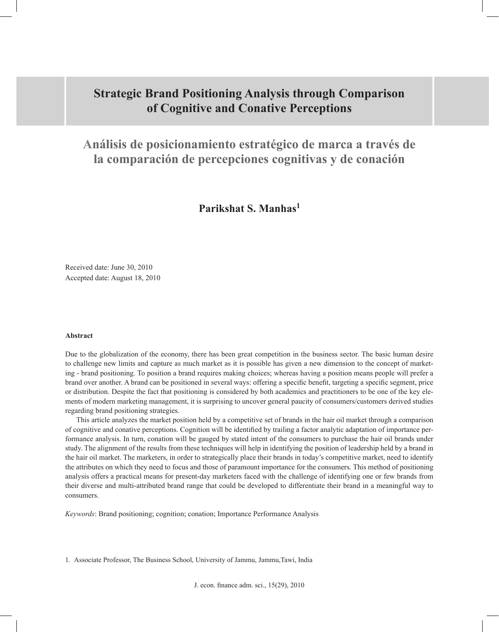# **Strategic Brand Positioning Analysis through Comparison of Cognitive and Conative Perceptions**

**Análisis de posicionamiento estratégico de marca a través de la comparación de percepciones cognitivas y de conación**

**Parikshat S. Manhas1**

Received date: June 30, 2010 Accepted date: August 18, 2010

#### **Abstract**

Due to the globalization of the economy, there has been great competition in the business sector. The basic human desire to challenge new limits and capture as much market as it is possible has given a new dimension to the concept of marketing - brand positioning. To position a brand requires making choices; whereas having a position means people will prefer a brand over another. A brand can be positioned in several ways: offering a specific benefit, targeting a specific segment, price or distribution. Despite the fact that positioning is considered by both academics and practitioners to be one of the key elements of modern marketing management, it is surprising to uncover general paucity of consumers/customers derived studies regarding brand positioning strategies.

This article analyzes the market position held by a competitive set of brands in the hair oil market through a comparison of cognitive and conative perceptions. Cognition will be identified by trailing a factor analytic adaptation of importance performance analysis. In turn, conation will be gauged by stated intent of the consumers to purchase the hair oil brands under study. The alignment of the results from these techniques will help in identifying the position of leadership held by a brand in the hair oil market. The marketers, in order to strategically place their brands in today's competitive market, need to identify the attributes on which they need to focus and those of paramount importance for the consumers. This method of positioning analysis offers a practical means for present-day marketers faced with the challenge of identifying one or few brands from their diverse and multi-attributed brand range that could be developed to differentiate their brand in a meaningful way to consumers.

*Keywords*: Brand positioning; cognition; conation; Importance Performance Analysis

1. Associate Professor, The Business School, University of Jammu, Jammu,Tawi, India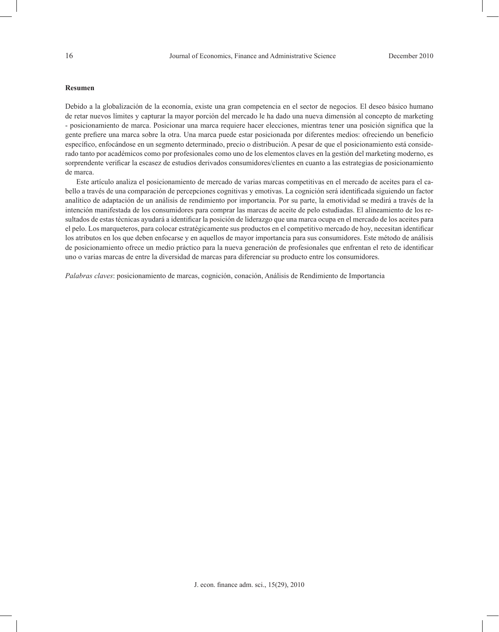#### **Resumen**

Debido a la globalización de la economía, existe una gran competencia en el sector de negocios. El deseo básico humano de retar nuevos límites y capturar la mayor porción del mercado le ha dado una nueva dimensión al concepto de marketing - posicionamiento de marca. Posicionar una marca requiere hacer elecciones, mientras tener una posición significa que la gente prefiere una marca sobre la otra. Una marca puede estar posicionada por diferentes medios: ofreciendo un beneficio específico, enfocándose en un segmento determinado, precio o distribución. A pesar de que el posicionamiento está considerado tanto por académicos como por profesionales como uno de los elementos claves en la gestión del marketing moderno, es sorprendente verificar la escasez de estudios derivados consumidores/clientes en cuanto a las estrategias de posicionamiento de marca.

Este artículo analiza el posicionamiento de mercado de varias marcas competitivas en el mercado de aceites para el cabello a través de una comparación de percepciones cognitivas y emotivas. La cognición será identificada siguiendo un factor analítico de adaptación de un análisis de rendimiento por importancia. Por su parte, la emotividad se medirá a través de la intención manifestada de los consumidores para comprar las marcas de aceite de pelo estudiadas. El alineamiento de los resultados de estas técnicas ayudará a identificar la posición de liderazgo que una marca ocupa en el mercado de los aceites para el pelo. Los marqueteros, para colocar estratégicamente sus productos en el competitivo mercado de hoy, necesitan identificar los atributos en los que deben enfocarse y en aquellos de mayor importancia para sus consumidores. Este método de análisis de posicionamiento ofrece un medio práctico para la nueva generación de profesionales que enfrentan el reto de identificar uno o varias marcas de entre la diversidad de marcas para diferenciar su producto entre los consumidores.

*Palabras claves*: posicionamiento de marcas, cognición, conación, Análisis de Rendimiento de Importancia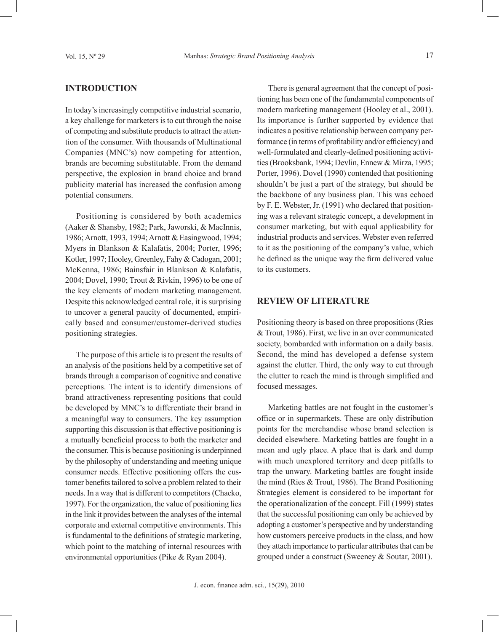# **Introduction**

In today's increasingly competitive industrial scenario, a key challenge for marketers is to cut through the noise of competing and substitute products to attract the attention of the consumer. With thousands of Multinational Companies (MNC's) now competing for attention, brands are becoming substitutable. From the demand perspective, the explosion in brand choice and brand publicity material has increased the confusion among potential consumers.

Positioning is considered by both academics (Aaker & Shansby, 1982; Park, Jaworski, & MacInnis, 1986; Arnott, 1993, 1994; Arnott & Easingwood, 1994; Myers in Blankson & Kalafatis, 2004; Porter, 1996; Kotler, 1997; Hooley, Greenley, Fahy & Cadogan, 2001; McKenna, 1986; Bainsfair in Blankson & Kalafatis, 2004; Dovel, 1990; Trout & Rivkin, 1996) to be one of the key elements of modern marketing management. Despite this acknowledged central role, it is surprising to uncover a general paucity of documented, empirically based and consumer/customer-derived studies positioning strategies.

The purpose of this article is to present the results of an analysis of the positions held by a competitive set of brands through a comparison of cognitive and conative perceptions. The intent is to identify dimensions of brand attractiveness representing positions that could be developed by MNC's to differentiate their brand in a meaningful way to consumers. The key assumption supporting this discussion is that effective positioning is a mutually beneficial process to both the marketer and the consumer. This is because positioning is underpinned by the philosophy of understanding and meeting unique consumer needs. Effective positioning offers the customer benefits tailored to solve a problem related to their needs. In a way that is different to competitors (Chacko, 1997). For the organization, the value of positioning lies in the link it provides between the analyses of the internal corporate and external competitive environments. This is fundamental to the definitions of strategic marketing, which point to the matching of internal resources with environmental opportunities (Pike & Ryan 2004).

There is general agreement that the concept of positioning has been one of the fundamental components of modern marketing management (Hooley et al., 2001). Its importance is further supported by evidence that indicates a positive relationship between company performance (in terms of profitability and/or efficiency) and well-formulated and clearly-defined positioning activities (Brooksbank, 1994; Devlin, Ennew & Mirza, 1995; Porter, 1996). Dovel (1990) contended that positioning shouldn't be just a part of the strategy, but should be the backbone of any business plan. This was echoed by F. E. Webster, Jr. (1991) who declared that positioning was a relevant strategic concept, a development in consumer marketing, but with equal applicability for industrial products and services. Webster even referred to it as the positioning of the company's value, which he defined as the unique way the firm delivered value to its customers.

#### **Review of literature**

Positioning theory is based on three propositions (Ries & Trout, 1986). First, we live in an over communicated society, bombarded with information on a daily basis. Second, the mind has developed a defense system against the clutter. Third, the only way to cut through the clutter to reach the mind is through simplified and focused messages.

Marketing battles are not fought in the customer's office or in supermarkets. These are only distribution points for the merchandise whose brand selection is decided elsewhere. Marketing battles are fought in a mean and ugly place. A place that is dark and dump with much unexplored territory and deep pitfalls to trap the unwary. Marketing battles are fought inside the mind (Ries & Trout, 1986). The Brand Positioning Strategies element is considered to be important for the operationalization of the concept. Fill (1999) states that the successful positioning can only be achieved by adopting a customer's perspective and by understanding how customers perceive products in the class, and how they attach importance to particular attributes that can be grouped under a construct (Sweeney & Soutar, 2001).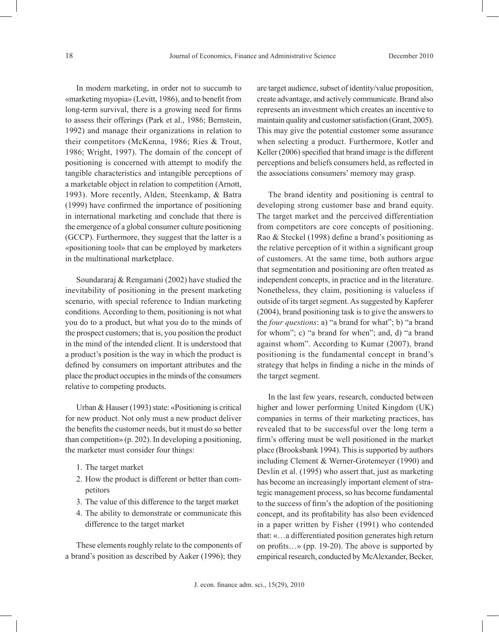In modern marketing, in order not to succumb to «marketing myopia» (Levitt, 1986), and to benefit from long-term survival, there is a growing need for firms to assess their offerings (Park et al., 1986; Bernstein, 1992) and manage their organizations in relation to their competitors (McKenna, 1986; Ries & Trout, 1986; Wright, 1997). The domain of the concept of positioning is concerned with attempt to modify the tangible characteristics and intangible perceptions of a marketable object in relation to competition (Arnott, 1993). More recently, Alden, Steenkamp, & Batra (1999) have confirmed the importance of positioning in international marketing and conclude that there is the emergence of a global consumer culture positioning (GCCP). Furthermore, they suggest that the latter is a «positioning tool» that can be employed by marketers in the multinational marketplace.

Soundararaj & Rengamani (2002) have studied the inevitability of positioning in the present marketing scenario, with special reference to Indian marketing conditions. According to them, positioning is not what you do to a product, but what you do to the minds of the prospect customers; that is, you position the product in the mind of the intended client. It is understood that a product's position is the way in which the product is defined by consumers on important attributes and the place the product occupies in the minds of the consumers relative to competing products.

Urban & Hauser (1993) state: «Positioning is critical for new product. Not only must a new product deliver the benefits the customer needs, but it must do so better than competition» (p. 202). In developing a positioning, the marketer must consider four things:

- 1. The target market
- 2. How the product is different or better than competitors
- 3. The value of this difference to the target market
- 4. The ability to demonstrate or communicate this difference to the target market

These elements roughly relate to the components of a brand's position as described by Aaker (1996); they

are target audience, subset of identity/value proposition, create advantage, and actively communicate. Brand also represents an investment which creates an incentive to maintain quality and customer satisfaction (Grant, 2005). This may give the potential customer some assurance when selecting a product. Furthermore, Kotler and Keller (2006) specified that brand image is the different perceptions and beliefs consumers held, as reflected in the associations consumers' memory may grasp.

The brand identity and positioning is central to developing strong customer base and brand equity. The target market and the perceived differentiation from competitors are core concepts of positioning. Rao & Steckel (1998) define a brand's positioning as the relative perception of it within a significant group of customers. At the same time, both authors argue that segmentation and positioning are often treated as independent concepts, in practice and in the literature. Nonetheless, they claim, positioning is valueless if outside of its target segment. As suggested by Kapferer (2004), brand positioning task is to give the answers to the *four questions*: a) "a brand for what"; b) "a brand for whom"; c) "a brand for when"; and, d) "a brand against whom". According to Kumar (2007), brand positioning is the fundamental concept in brand's strategy that helps in finding a niche in the minds of the target segment.

In the last few years, research, conducted between higher and lower performing United Kingdom (UK) companies in terms of their marketing practices, has revealed that to be successful over the long term a firm's offering must be well positioned in the market place (Brooksbank 1994). This is supported by authors including Clement & Werner-Grotemeyer (1990) and Devlin et al. (1995) who assert that, just as marketing has become an increasingly important element of strategic management process, so has become fundamental to the success of firm's the adoption of the positioning concept, and its profitability has also been evidenced in a paper written by Fisher (1991) who contended that: «…a differentiated position generates high return on profits…» (pp. 19-20). The above is supported by empirical research, conducted by McAlexander, Becker,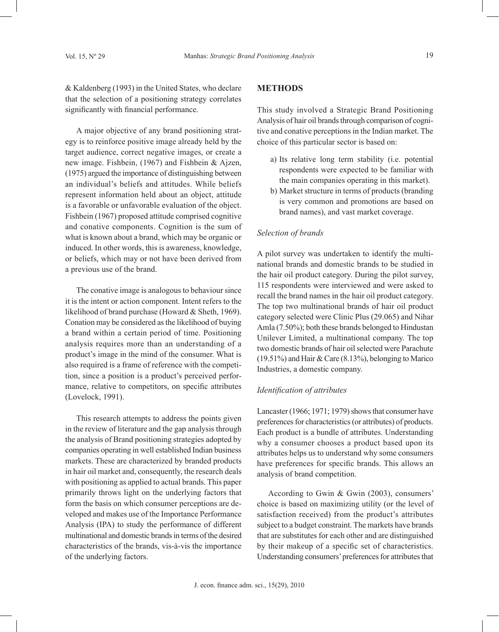& Kaldenberg (1993) in the United States, who declare that the selection of a positioning strategy correlates significantly with financial performance.

A major objective of any brand positioning strategy is to reinforce positive image already held by the target audience, correct negative images, or create a new image. Fishbein, (1967) and Fishbein & Ajzen, (1975) argued the importance of distinguishing between an individual's beliefs and attitudes. While beliefs represent information held about an object, attitude is a favorable or unfavorable evaluation of the object. Fishbein (1967) proposed attitude comprised cognitive and conative components. Cognition is the sum of what is known about a brand, which may be organic or induced. In other words, this is awareness, knowledge, or beliefs, which may or not have been derived from a previous use of the brand.

The conative image is analogous to behaviour since it is the intent or action component. Intent refers to the likelihood of brand purchase (Howard & Sheth, 1969). Conation may be considered as the likelihood of buying a brand within a certain period of time. Positioning analysis requires more than an understanding of a product's image in the mind of the consumer. What is also required is a frame of reference with the competition, since a position is a product's perceived performance, relative to competitors, on specific attributes (Lovelock, 1991).

This research attempts to address the points given in the review of literature and the gap analysis through the analysis of Brand positioning strategies adopted by companies operating in well established Indian business markets. These are characterized by branded products in hair oil market and, consequently, the research deals with positioning as applied to actual brands. This paper primarily throws light on the underlying factors that form the basis on which consumer perceptions are developed and makes use of the Importance Performance Analysis (IPA) to study the performance of different multinational and domestic brands in terms of the desired characteristics of the brands, vis-à-vis the importance of the underlying factors.

## **METHODS**

This study involved a Strategic Brand Positioning Analysis of hair oil brands through comparison of cognitive and conative perceptions in the Indian market. The choice of this particular sector is based on:

- a) Its relative long term stability (i.e. potential respondents were expected to be familiar with the main companies operating in this market).
- b) Market structure in terms of products (branding is very common and promotions are based on brand names), and vast market coverage.

#### *Selection of brands*

A pilot survey was undertaken to identify the multinational brands and domestic brands to be studied in the hair oil product category. During the pilot survey, 115 respondents were interviewed and were asked to recall the brand names in the hair oil product category. The top two multinational brands of hair oil product category selected were Clinic Plus (29.065) and Nihar Amla (7.50%); both these brands belonged to Hindustan Unilever Limited, a multinational company. The top two domestic brands of hair oil selected were Parachute (19.51%) and Hair & Care (8.13%), belonging to Marico Industries, a domestic company.

### *Identification of attributes*

Lancaster (1966; 1971; 1979) shows that consumer have preferences for characteristics (or attributes) of products. Each product is a bundle of attributes. Understanding why a consumer chooses a product based upon its attributes helps us to understand why some consumers have preferences for specific brands. This allows an analysis of brand competition.

According to Gwin & Gwin (2003), consumers' choice is based on maximizing utility (or the level of satisfaction received) from the product's attributes subject to a budget constraint. The markets have brands that are substitutes for each other and are distinguished by their makeup of a specific set of characteristics. Understanding consumers' preferences for attributes that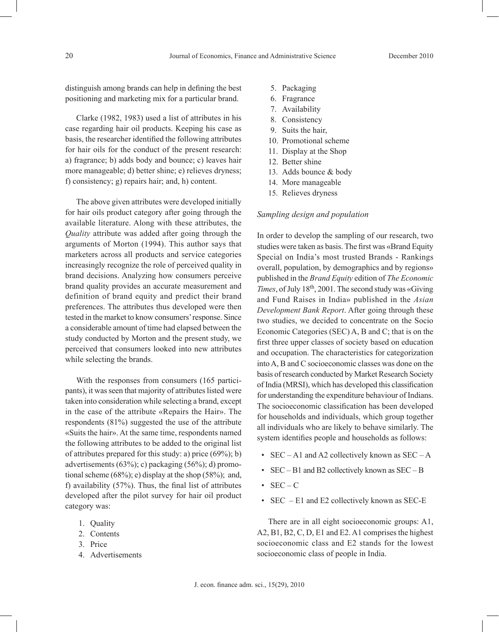distinguish among brands can help in defining the best positioning and marketing mix for a particular brand.

Clarke (1982, 1983) used a list of attributes in his case regarding hair oil products. Keeping his case as basis, the researcher identified the following attributes for hair oils for the conduct of the present research: a) fragrance; b) adds body and bounce; c) leaves hair more manageable; d) better shine; e) relieves dryness; f) consistency; g) repairs hair; and, h) content.

The above given attributes were developed initially for hair oils product category after going through the available literature. Along with these attributes, the *Quality* attribute was added after going through the arguments of Morton (1994). This author says that marketers across all products and service categories increasingly recognize the role of perceived quality in brand decisions. Analyzing how consumers perceive brand quality provides an accurate measurement and definition of brand equity and predict their brand preferences. The attributes thus developed were then tested in the market to know consumers' response. Since a considerable amount of time had elapsed between the study conducted by Morton and the present study, we perceived that consumers looked into new attributes while selecting the brands.

With the responses from consumers (165 participants), it was seen that majority of attributes listed were taken into consideration while selecting a brand, except in the case of the attribute «Repairs the Hair». The respondents (81%) suggested the use of the attribute «Suits the hair». At the same time, respondents named the following attributes to be added to the original list of attributes prepared for this study: a) price (69%); b) advertisements (63%); c) packaging (56%); d) promotional scheme (68%); e) display at the shop (58%); and, f) availability (57%). Thus, the final list of attributes developed after the pilot survey for hair oil product category was:

- 1. Quality
- 2. Contents
- 3. Price
- 4. Advertisements
- 5. Packaging
- 6. Fragrance
- 7. Availability
- 8. Consistency
- 9. Suits the hair,
- 10. Promotional scheme
- 11. Display at the Shop
- 12. Better shine
- 13. Adds bounce & body
- 14. More manageable
- 15. Relieves dryness

#### *Sampling design and population*

In order to develop the sampling of our research, two studies were taken as basis. The first was «Brand Equity Special on India's most trusted Brands - Rankings overall, population, by demographics and by regions» published in the *Brand Equity* edition of *The Economic Times*, of July 18<sup>th</sup>, 2001. The second study was «Giving and Fund Raises in India» published in the *Asian Development Bank Report*. After going through these two studies, we decided to concentrate on the Socio Economic Categories (SEC) A, B and C; that is on the first three upper classes of society based on education and occupation. The characteristics for categorization into A, B and C socioeconomic classes was done on the basis of research conducted by Market Research Society of India (MRSI), which has developed this classification for understanding the expenditure behaviour of Indians. The socioeconomic classification has been developed for households and individuals, which group together all individuals who are likely to behave similarly. The system identifies people and households as follows:

- SEC A1 and A2 collectively known as SEC A
- $SEC B1$  and B2 collectively known as  $SEC B$
- $SEC C$
- SEC E1 and E2 collectively known as SEC-E

There are in all eight socioeconomic groups: A1, A2, B1, B2, C, D, E1 and E2. A1 comprises the highest socioeconomic class and E2 stands for the lowest socioeconomic class of people in India.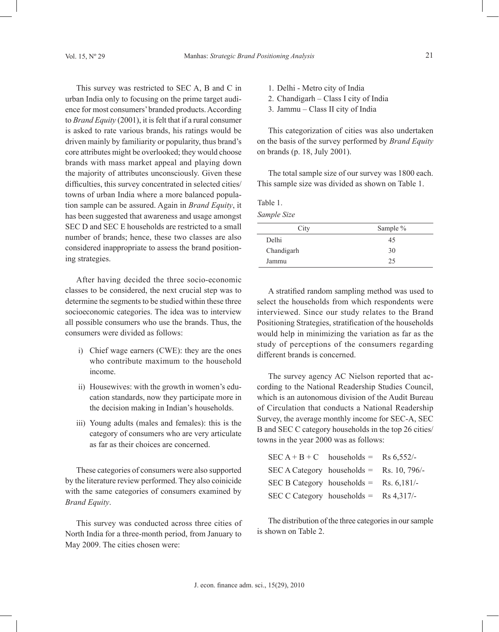This survey was restricted to SEC A, B and C in urban India only to focusing on the prime target audience for most consumers' branded products. According to *Brand Equity* (2001), it is felt that if a rural consumer is asked to rate various brands, his ratings would be driven mainly by familiarity or popularity, thus brand's core attributes might be overlooked; they would choose brands with mass market appeal and playing down the majority of attributes unconsciously. Given these difficulties, this survey concentrated in selected cities/ towns of urban India where a more balanced population sample can be assured. Again in *Brand Equity*, it has been suggested that awareness and usage amongst SEC D and SEC E households are restricted to a small number of brands; hence, these two classes are also considered inappropriate to assess the brand positioning strategies.

After having decided the three socio-economic classes to be considered, the next crucial step was to determine the segments to be studied within these three socioeconomic categories. The idea was to interview all possible consumers who use the brands. Thus, the consumers were divided as follows:

- i) Chief wage earners (CWE): they are the ones who contribute maximum to the household income.
- ii) Housewives: with the growth in women's education standards, now they participate more in the decision making in Indian's households.
- iii) Young adults (males and females): this is the category of consumers who are very articulate as far as their choices are concerned.

These categories of consumers were also supported by the literature review performed. They also coinicide with the same categories of consumers examined by *Brand Equity*.

This survey was conducted across three cities of North India for a three-month period, from January to May 2009. The cities chosen were:

1. Delhi - Metro city of India

- 2. Chandigarh Class I city of India
- 3. Jammu Class II city of India

This categorization of cities was also undertaken on the basis of the survey performed by *Brand Equity* on brands (p. 18, July 2001).

The total sample size of our survey was 1800 each. This sample size was divided as shown on Table 1.

Table 1.

*Sample Size*

| Sample % |
|----------|
| 45       |
| 30       |
| 25       |
|          |

A stratified random sampling method was used to select the households from which respondents were interviewed. Since our study relates to the Brand Positioning Strategies, stratification of the households would help in minimizing the variation as far as the study of perceptions of the consumers regarding different brands is concerned.

The survey agency AC Nielson reported that according to the National Readership Studies Council, which is an autonomous division of the Audit Bureau of Circulation that conducts a National Readership Survey, the average monthly income for SEC-A, SEC B and SEC C category households in the top 26 cities/ towns in the year 2000 was as follows:

| SEC $A + B + C$ households = Rs 6,552/-            |  |
|----------------------------------------------------|--|
| SEC A Category households = Rs. 10, 796/-          |  |
| SEC B Category households = $\text{Rs. } 6,181/$ - |  |
| SEC C Category households = $\text{Rs } 4,317/$ -  |  |

The distribution of the three categories in our sample is shown on Table 2.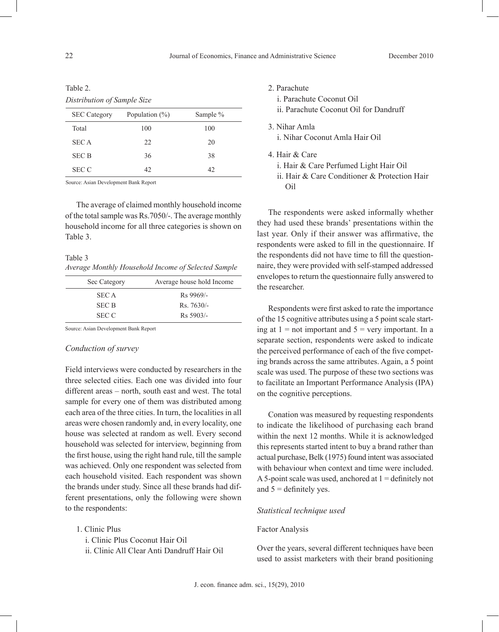#### Table 2.

*Distribution of Sample Size*

| <b>SEC</b> Category | Population $(\% )$ | Sample % |
|---------------------|--------------------|----------|
| Total               | 100                | 100      |
| <b>SECA</b>         | 22                 | 20       |
| <b>SEC B</b>        | 36                 | 38       |
| <b>SEC C</b>        | 42                 | 42       |

Source: Asian Development Bank Report

The average of claimed monthly household income of the total sample was Rs.7050/-. The average monthly household income for all three categories is shown on Table 3.

# Table 3

*Average Monthly Household Income of Selected Sample*

| Sec Category | Average house hold Income |
|--------------|---------------------------|
| <b>SECA</b>  | $Rs$ 9969/-               |
| <b>SEC B</b> | $Rs.7630/-$               |
| <b>SEC C</b> | $Rs$ 5903/-               |

Source: Asian Development Bank Report

# *Conduction of survey*

Field interviews were conducted by researchers in the three selected cities. Each one was divided into four different areas – north, south east and west. The total sample for every one of them was distributed among each area of the three cities. In turn, the localities in all areas were chosen randomly and, in every locality, one house was selected at random as well. Every second household was selected for interview, beginning from the first house, using the right hand rule, till the sample was achieved. Only one respondent was selected from each household visited. Each respondent was shown the brands under study. Since all these brands had different presentations, only the following were shown to the respondents:

- 1. Clinic Plus
	- i. Clinic Plus Coconut Hair Oil
	- ii. Clinic All Clear Anti Dandruff Hair Oil
- 2. Parachute
	- i. Parachute Coconut Oil

ii. Parachute Coconut Oil for Dandruff

- 3. Nihar Amla i. Nihar Coconut Amla Hair Oil
- 4. Hair & Care
	- i. Hair & Care Perfumed Light Hair Oil
	- ii. Hair & Care Conditioner & Protection Hair Oil

The respondents were asked informally whether they had used these brands' presentations within the last year. Only if their answer was affirmative, the respondents were asked to fill in the questionnaire. If the respondents did not have time to fill the questionnaire, they were provided with self-stamped addressed envelopes to return the questionnaire fully answered to the researcher.

Respondents were first asked to rate the importance of the 15 cognitive attributes using a 5 point scale starting at  $1 =$  not important and  $5 =$  very important. In a separate section, respondents were asked to indicate the perceived performance of each of the five competing brands across the same attributes. Again, a 5 point scale was used. The purpose of these two sections was to facilitate an Important Performance Analysis (IPA) on the cognitive perceptions.

Conation was measured by requesting respondents to indicate the likelihood of purchasing each brand within the next 12 months. While it is acknowledged this represents started intent to buy a brand rather than actual purchase, Belk (1975) found intent was associated with behaviour when context and time were included. A 5-point scale was used, anchored at  $1 =$  definitely not and  $5 =$  definitely yes.

#### *Statistical technique used*

## Factor Analysis

Over the years, several different techniques have been used to assist marketers with their brand positioning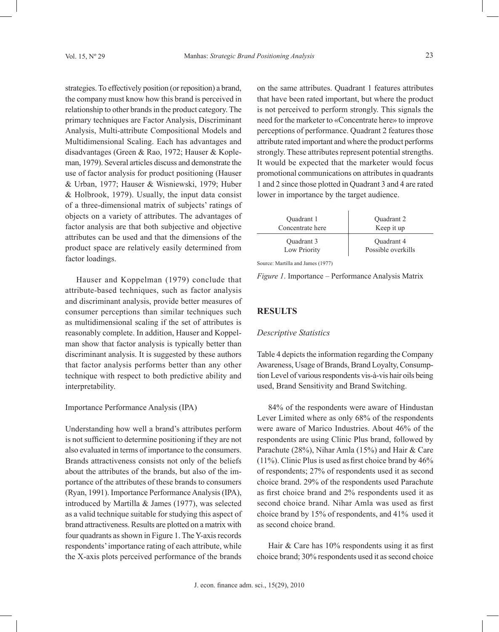strategies. To effectively position (or reposition) a brand, the company must know how this brand is perceived in relationship to other brands in the product category. The primary techniques are Factor Analysis, Discriminant Analysis, Multi-attribute Compositional Models and Multidimensional Scaling. Each has advantages and disadvantages (Green & Rao, 1972; Hauser & Kopleman, 1979). Several articles discuss and demonstrate the use of factor analysis for product positioning (Hauser & Urban, 1977; Hauser & Wisniewski, 1979; Huber & Holbrook, 1979). Usually, the input data consist of a three-dimensional matrix of subjects' ratings of objects on a variety of attributes. The advantages of factor analysis are that both subjective and objective attributes can be used and that the dimensions of the product space are relatively easily determined from factor loadings.

Hauser and Koppelman (1979) conclude that attribute-based techniques, such as factor analysis and discriminant analysis, provide better measures of consumer perceptions than similar techniques such as multidimensional scaling if the set of attributes is reasonably complete. In addition, Hauser and Koppelman show that factor analysis is typically better than discriminant analysis. It is suggested by these authors that factor analysis performs better than any other technique with respect to both predictive ability and interpretability.

#### Importance Performance Analysis (IPA)

Understanding how well a brand's attributes perform is not sufficient to determine positioning if they are not also evaluated in terms of importance to the consumers. Brands attractiveness consists not only of the beliefs about the attributes of the brands, but also of the importance of the attributes of these brands to consumers (Ryan, 1991). Importance Performance Analysis (IPA), introduced by Martilla & James (1977), was selected as a valid technique suitable for studying this aspect of brand attractiveness. Results are plotted on a matrix with four quadrants as shown in Figure 1. The Y-axis records respondents' importance rating of each attribute, while the X-axis plots perceived performance of the brands

on the same attributes. Quadrant 1 features attributes that have been rated important, but where the product is not perceived to perform strongly. This signals the need for the marketer to «Concentrate here» to improve perceptions of performance. Quadrant 2 features those attribute rated important and where the product performs strongly. These attributes represent potential strengths. It would be expected that the marketer would focus promotional communications on attributes in quadrants 1 and 2 since those plotted in Quadrant 3 and 4 are rated lower in importance by the target audience.

| Quadrant 1       | Quadrant 2         |
|------------------|--------------------|
| Concentrate here | Keep it up         |
| Quadrant 3       | Quadrant 4         |
| Low Priority     | Possible overkills |

Source: Martilla and James (1977)

*Figure 1*. Importance – Performance Analysis Matrix

#### **RESULTS**

#### *Descriptive Statistics*

Table 4 depicts the information regarding the Company Awareness, Usage of Brands, Brand Loyalty, Consumption Level of various respondents vis-à-vis hair oils being used, Brand Sensitivity and Brand Switching.

84% of the respondents were aware of Hindustan Lever Limited where as only 68% of the respondents were aware of Marico Industries. About 46% of the respondents are using Clinic Plus brand, followed by Parachute (28%), Nihar Amla (15%) and Hair & Care (11%). Clinic Plus is used as first choice brand by 46% of respondents; 27% of respondents used it as second choice brand. 29% of the respondents used Parachute as first choice brand and 2% respondents used it as second choice brand. Nihar Amla was used as first choice brand by 15% of respondents, and 41% used it as second choice brand.

Hair & Care has 10% respondents using it as first choice brand; 30% respondents used it as second choice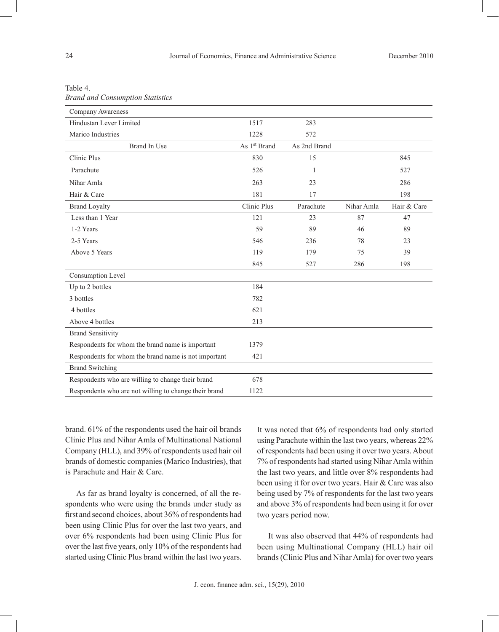| Company Awareness                                     |                          |              |            |             |
|-------------------------------------------------------|--------------------------|--------------|------------|-------------|
| Hindustan Lever Limited                               | 1517                     | 283          |            |             |
| Marico Industries                                     | 1228                     | 572          |            |             |
| <b>Brand In Use</b>                                   | As 1 <sup>st</sup> Brand | As 2nd Brand |            |             |
| Clinic Plus                                           | 830                      | 15           |            | 845         |
| Parachute                                             | 526                      | 1            |            | 527         |
| Nihar Amla                                            | 263                      | 23           |            | 286         |
| Hair & Care                                           | 181                      | 17           |            | 198         |
| <b>Brand Loyalty</b>                                  | Clinic Plus              | Parachute    | Nihar Amla | Hair & Care |
| Less than 1 Year                                      | 121                      | 23           | 87         | 47          |
| 1-2 Years                                             | 59                       | 89           | 46         | 89          |
| 2-5 Years                                             | 546                      | 236          | 78         | 23          |
| Above 5 Years                                         | 119                      | 179          | 75         | 39          |
|                                                       | 845                      | 527          | 286        | 198         |
| Consumption Level                                     |                          |              |            |             |
| Up to 2 bottles                                       | 184                      |              |            |             |
| 3 bottles                                             | 782                      |              |            |             |
| 4 bottles                                             | 621                      |              |            |             |
| Above 4 bottles                                       | 213                      |              |            |             |
| <b>Brand Sensitivity</b>                              |                          |              |            |             |
| Respondents for whom the brand name is important      | 1379                     |              |            |             |
| Respondents for whom the brand name is not important  | 421                      |              |            |             |
| <b>Brand Switching</b>                                |                          |              |            |             |
| Respondents who are willing to change their brand     | 678                      |              |            |             |
| Respondents who are not willing to change their brand | 1122                     |              |            |             |

Table 4.

*Brand and Consumption Statistics*

brand. 61% of the respondents used the hair oil brands Clinic Plus and Nihar Amla of Multinational National Company (HLL), and 39% of respondents used hair oil brands of domestic companies (Marico Industries), that is Parachute and Hair & Care.

As far as brand loyalty is concerned, of all the respondents who were using the brands under study as first and second choices, about 36% of respondents had been using Clinic Plus for over the last two years, and over 6% respondents had been using Clinic Plus for over the last five years, only 10% of the respondents had started using Clinic Plus brand within the last two years. It was noted that 6% of respondents had only started using Parachute within the last two years, whereas 22% of respondents had been using it over two years. About 7% of respondents had started using Nihar Amla within the last two years, and little over 8% respondents had been using it for over two years. Hair & Care was also being used by 7% of respondents for the last two years and above 3% of respondents had been using it for over two years period now.

It was also observed that 44% of respondents had been using Multinational Company (HLL) hair oil brands (Clinic Plus and Nihar Amla) for over two years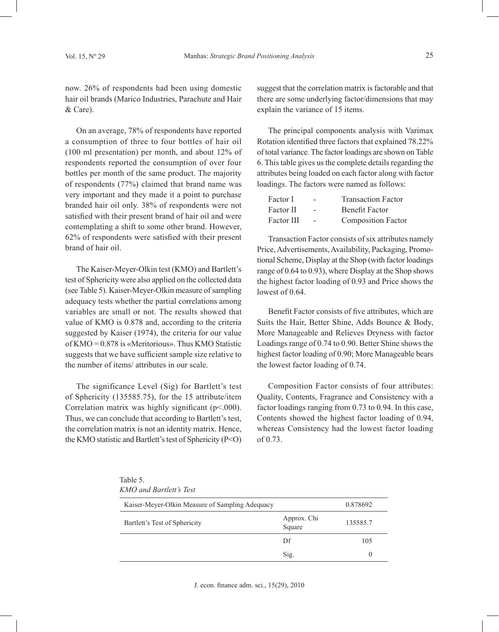now. 26% of respondents had been using domestic hair oil brands (Marico Industries, Parachute and Hair & Care).

On an average, 78% of respondents have reported a consumption of three to four bottles of hair oil (100 ml presentation) per month, and about 12% of respondents reported the consumption of over four bottles per month of the same product. The majority of respondents (77%) claimed that brand name was very important and they made it a point to purchase branded hair oil only. 38% of respondents were not satisfied with their present brand of hair oil and were contemplating a shift to some other brand. However, 62% of respondents were satisfied with their present brand of hair oil.

The Kaiser-Meyer-Olkin test (KMO) and Bartlett's test of Sphericity were also applied on the collected data (see Table 5). Kaiser-Meyer-Olkin measure of sampling adequacy tests whether the partial correlations among variables are small or not. The results showed that value of KMO is 0.878 and, according to the criteria suggested by Kaiser (1974), the criteria for our value of KMO = 0.878 is «Meritorious». Thus KMO Statistic suggests that we have sufficient sample size relative to the number of items/ attributes in our scale.

The significance Level (Sig) for Bartlett's test of Sphericity (135585.75), for the 15 attribute/item Correlation matrix was highly significant  $(p<0.000)$ . Thus, we can conclude that according to Bartlett's test, the correlation matrix is not an identity matrix. Hence, the KMO statistic and Bartlett's test of Sphericity (P<O)

suggest that the correlation matrix is factorable and that there are some underlying factor/dimensions that may explain the variance of 15 items.

The principal components analysis with Varimax Rotation identified three factors that explained 78.22% of total variance. The factor loadings are shown on Table 6. This table gives us the complete details regarding the attributes being loaded on each factor along with factor loadings. The factors were named as follows:

| Factor I   | - | <b>Transaction Factor</b> |
|------------|---|---------------------------|
| Factor II  | - | <b>Benefit Factor</b>     |
| Factor III | - | <b>Composition Factor</b> |

Transaction Factor consists of six attributes namely Price, Advertisements, Availability, Packaging, Promotional Scheme, Display at the Shop (with factor loadings range of 0.64 to 0.93), where Display at the Shop shows the highest factor loading of 0.93 and Price shows the lowest of 0.64.

Benefit Factor consists of five attributes, which are Suits the Hair, Better Shine, Adds Bounce & Body, More Manageable and Relieves Dryness with factor Loadings range of 0.74 to 0.90. Better Shine shows the highest factor loading of 0.90; More Manageable bears the lowest factor loading of 0.74.

Composition Factor consists of four attributes: Quality, Contents, Fragrance and Consistency with a factor loadings ranging from 0.73 to 0.94. In this case, Contents showed the highest factor loading of 0.94, whereas Consistency had the lowest factor loading of 0.73.

| Table 5. |                         |  |
|----------|-------------------------|--|
|          | KMO and Bartlett's Test |  |

| Kaiser-Meyer-Olkin Measure of Sampling Adequacy | 0.878692              |          |
|-------------------------------------------------|-----------------------|----------|
| Bartlett's Test of Sphericity                   | Approx. Chi<br>Square | 135585.7 |
|                                                 | Df                    | 105      |
|                                                 | Sig.                  | $\theta$ |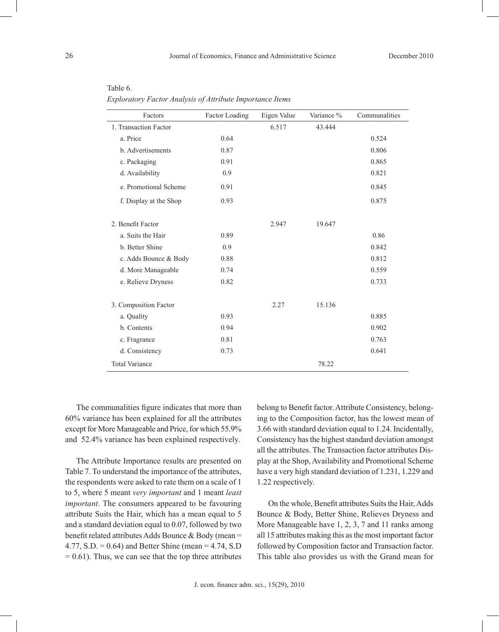| - - |  |  |
|-----|--|--|
|     |  |  |
|     |  |  |
|     |  |  |
|     |  |  |
|     |  |  |

| Factors                  | Factor Loading | Eigen Value | Variance % | Communalities |
|--------------------------|----------------|-------------|------------|---------------|
| 1. Transaction Factor    |                | 6.517       | 43.444     |               |
| a. Price                 | 0.64           |             |            | 0.524         |
| <b>b.</b> Advertisements | 0.87           |             |            | 0.806         |
| c. Packaging             | 0.91           |             |            | 0.865         |
| d. Availability          | 0.9            |             |            | 0.821         |
| e. Promotional Scheme    | 0.91           |             |            | 0.845         |
| f. Display at the Shop   | 0.93           |             |            | 0.875         |
| 2. Benefit Factor        |                | 2.947       | 19.647     |               |
| a. Suits the Hair        | 0.89           |             |            | 0.86          |
| b. Better Shine          | 0.9            |             |            | 0.842         |
| c. Adds Bounce & Body    | 0.88           |             |            | 0.812         |
| d. More Manageable       | 0.74           |             |            | 0.559         |
| e. Relieve Dryness       | 0.82           |             |            | 0.733         |
| 3. Composition Factor    |                | 2.27        | 15.136     |               |
| a. Quality               | 0.93           |             |            | 0.885         |
| b. Contents              | 0.94           |             |            | 0.902         |
| c. Fragrance             | 0.81           |             |            | 0.763         |
| d. Consistency           | 0.73           |             |            | 0.641         |
| <b>Total Variance</b>    |                |             | 78.22      |               |

Table 6. *Exploratory Factor Analysis of Attribute Importance Items*

The communalities figure indicates that more than 60% variance has been explained for all the attributes except for More Manageable and Price, for which 55.9% and 52.4% variance has been explained respectively.

The Attribute Importance results are presented on Table 7. To understand the importance of the attributes, the respondents were asked to rate them on a scale of 1 to 5, where 5 meant *very important* and 1 meant *least important*. The consumers appeared to be favouring attribute Suits the Hair, which has a mean equal to 5 and a standard deviation equal to 0.07, followed by two benefit related attributes Adds Bounce & Body (mean = 4.77, S.D. =  $0.64$ ) and Better Shine (mean =  $4.74$ , S.D  $= 0.61$ ). Thus, we can see that the top three attributes belong to Benefit factor. Attribute Consistency, belonging to the Composition factor, has the lowest mean of 3.66 with standard deviation equal to 1.24. Incidentally, Consistency has the highest standard deviation amongst all the attributes. The Transaction factor attributes Display at the Shop, Availability and Promotional Scheme have a very high standard deviation of 1.231, 1.229 and 1.22 respectively.

On the whole, Benefit attributes Suits the Hair, Adds Bounce & Body, Better Shine, Relieves Dryness and More Manageable have 1, 2, 3, 7 and 11 ranks among all 15 attributes making this as the most important factor followed by Composition factor and Transaction factor. This table also provides us with the Grand mean for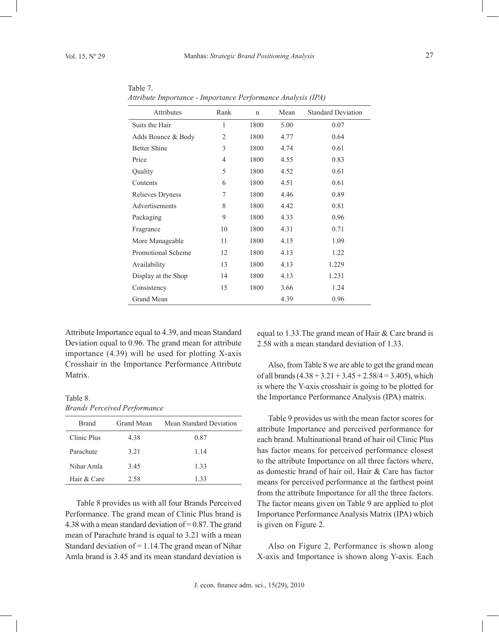| Attributes          | Rank           | $\mathbf n$ | Mean | <b>Standard Deviation</b> |
|---------------------|----------------|-------------|------|---------------------------|
| Suits the Hair      | 1              | 1800        | 5.00 | 0.07                      |
| Adds Bounce & Body  | $\overline{2}$ | 1800        | 4.77 | 0.64                      |
| <b>Better Shine</b> | 3              | 1800        | 4.74 | 0.61                      |
| Price               | $\overline{4}$ | 1800        | 4.55 | 0.83                      |
| Quality             | 5              | 1800        | 4.52 | 0.61                      |
| Contents            | 6              | 1800        | 4.51 | 0.61                      |
| Relieves Dryness    | 7              | 1800        | 4.46 | 0.89                      |
| Advertisements      | 8              | 1800        | 4.42 | 0.81                      |
| Packaging           | 9              | 1800        | 4.33 | 0.96                      |
| Fragrance           | 10             | 1800        | 4.31 | 0.71                      |
| More Manageable     | 11             | 1800        | 4.15 | 1.09                      |
| Promotional Scheme  | 12             | 1800        | 4.13 | 1.22                      |
| Availability        | 13             | 1800        | 4.13 | 1.229                     |
| Display at the Shop | 14             | 1800        | 4.13 | 1.231                     |
| Consistency         | 15             | 1800        | 3.66 | 1.24                      |
| Grand Mean          |                |             | 4.39 | 0.96                      |

Table 7. *Attribute Importance - Importance Performance Analysis (IPA)*

Attribute Importance equal to 4.39, and mean Standard Deviation equal to 0.96. The grand mean for attribute importance (4.39) will be used for plotting X-axis Crosshair in the Importance Performance Attribute Matrix.

Table 8. *Brands Perceived Performance*

| <b>Brand</b> | Grand Mean | Mean Standard Deviation |
|--------------|------------|-------------------------|
| Clinic Plus  | 4.38       | 0.87                    |
| Parachute    | 3.21       | 1.14                    |
| Nihar Amla   | 3.45       | 1.33                    |
| Hair & Care  | 2.58       | 1.33                    |

Table 8 provides us with all four Brands Perceived Performance. The grand mean of Clinic Plus brand is 4.38 with a mean standard deviation of  $= 0.87$ . The grand mean of Parachute brand is equal to 3.21 with a mean Standard deviation of  $= 1.14$ . The grand mean of Nihar Amla brand is 3.45 and its mean standard deviation is

equal to 1.33.The grand mean of Hair & Care brand is 2.58 with a mean standard deviation of 1.33.

Also, from Table 8 we are able to get the grand mean of all brands  $(4.38 + 3.21 + 3.45 + 2.58/4 = 3.405)$ , which is where the Y-axis crosshair is going to be plotted for the Importance Performance Analysis (IPA) matrix.

Table 9 provides us with the mean factor scores for attribute Importance and perceived performance for each brand. Multinational brand of hair oil Clinic Plus has factor means for perceived performance closest to the attribute Importance on all three factors where, as domestic brand of hair oil, Hair & Care has factor means for perceived performance at the farthest point from the attribute Importance for all the three factors. The factor means given on Table 9 are applied to plot Importance Performance Analysis Matrix (IPA) which is given on Figure 2.

Also on Figure 2, Performance is shown along X-axis and Importance is shown along Y-axis. Each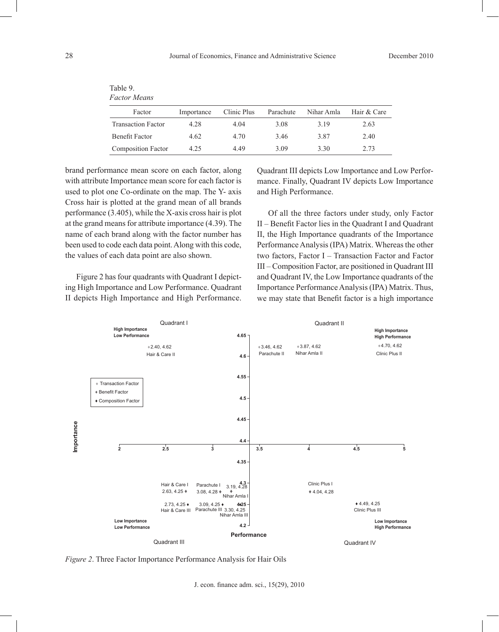| Table 9.<br>Factor Means  |            |             |           |            |             |  |  |  |  |  |
|---------------------------|------------|-------------|-----------|------------|-------------|--|--|--|--|--|
| Factor                    | Importance | Clinic Plus | Parachute | Nihar Amla | Hair & Care |  |  |  |  |  |
| <b>Transaction Factor</b> | 4.28       | 4.04        | 3.08      | 3 1 9      | 2.63        |  |  |  |  |  |
| Benefit Factor            | 4.62       | 4.70        | 3.46      | 3.87       | 2.40        |  |  |  |  |  |
| <b>Composition Factor</b> | 4.25       | 4.49        | 3.09      | 3.30       | 2.73        |  |  |  |  |  |

brand performance mean score on each factor, along with attribute Importance mean score for each factor is used to plot one Co-ordinate on the map. The Y- axis Cross hair is plotted at the grand mean of all brands performance (3.405), while the X-axis cross hair is plot at the grand means for attribute importance (4.39). The name of each brand along with the factor number has been used to code each data point. Along with this code, the values of each data point are also shown.

Figure 2 has four quadrants with Quadrant I depicting High Importance and Low Performance. Quadrant II depicts High Importance and High Performance.

Quadrant III depicts Low Importance and Low Performance. Finally, Quadrant IV depicts Low Importance and High Performance.

Of all the three factors under study, only Factor II – Benefit Factor lies in the Quadrant I and Quadrant II, the High Importance quadrants of the Importance Performance Analysis (IPA) Matrix. Whereas the other two factors, Factor I – Transaction Factor and Factor III – Composition Factor, are positioned in Quadrant III and Quadrant IV, the Low Importance quadrants of the Importance Performance Analysis (IPA) Matrix. Thus, we may state that Benefit factor is a high importance



*Figure 2*. Three Factor Importance Performance Analysis for Hair Oils

J. econ. finance adm. sci., 15(29), 2010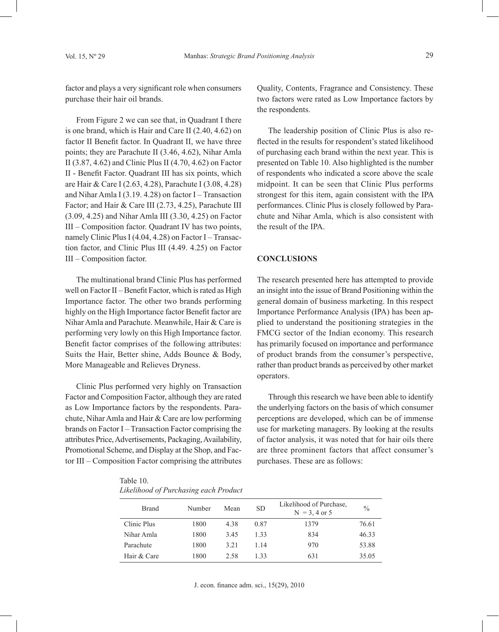factor and plays a very significant role when consumers purchase their hair oil brands.

From Figure 2 we can see that, in Quadrant I there is one brand, which is Hair and Care II (2.40, 4.62) on factor II Benefit factor. In Quadrant II, we have three points; they are Parachute II (3.46, 4.62), Nihar Amla II (3.87, 4.62) and Clinic Plus II (4.70, 4.62) on Factor II - Benefit Factor. Quadrant III has six points, which are Hair & Care I (2.63, 4.28), Parachute I (3.08, 4.28) and Nihar Amla I (3.19. 4.28) on factor I – Transaction Factor; and Hair & Care III (2.73, 4.25), Parachute III (3.09, 4.25) and Nihar Amla III (3.30, 4.25) on Factor III – Composition factor. Quadrant IV has two points, namely Clinic Plus I (4.04, 4.28) on Factor I – Transaction factor, and Clinic Plus III (4.49. 4.25) on Factor III – Composition factor.

The multinational brand Clinic Plus has performed well on Factor II – Benefit Factor, which is rated as High Importance factor. The other two brands performing highly on the High Importance factor Benefit factor are Nihar Amla and Parachute. Meanwhile, Hair & Care is performing very lowly on this High Importance factor. Benefit factor comprises of the following attributes: Suits the Hair, Better shine, Adds Bounce & Body, More Manageable and Relieves Dryness.

Clinic Plus performed very highly on Transaction Factor and Composition Factor, although they are rated as Low Importance factors by the respondents. Parachute, Nihar Amla and Hair & Care are low performing brands on Factor I – Transaction Factor comprising the attributes Price, Advertisements, Packaging, Availability, Promotional Scheme, and Display at the Shop, and Factor III – Composition Factor comprising the attributes Quality, Contents, Fragrance and Consistency. These two factors were rated as Low Importance factors by the respondents.

The leadership position of Clinic Plus is also reflected in the results for respondent's stated likelihood of purchasing each brand within the next year. This is presented on Table 10. Also highlighted is the number of respondents who indicated a score above the scale midpoint. It can be seen that Clinic Plus performs strongest for this item, again consistent with the IPA performances. Clinic Plus is closely followed by Parachute and Nihar Amla, which is also consistent with the result of the IPA.

#### **CONCLUSIONS**

The research presented here has attempted to provide an insight into the issue of Brand Positioning within the general domain of business marketing. In this respect Importance Performance Analysis (IPA) has been applied to understand the positioning strategies in the FMCG sector of the Indian economy. This research has primarily focused on importance and performance of product brands from the consumer's perspective, rather than product brands as perceived by other market operators.

Through this research we have been able to identify the underlying factors on the basis of which consumer perceptions are developed, which can be of immense use for marketing managers. By looking at the results of factor analysis, it was noted that for hair oils there are three prominent factors that affect consumer's purchases. These are as follows:

Table 10. *Likelihood of Purchasing each Product*

| <b>Brand</b> | Number | Mean  | <b>SD</b> | Likelihood of Purchase.<br>$N = 3, 4$ or 5 | $\frac{0}{0}$ |
|--------------|--------|-------|-----------|--------------------------------------------|---------------|
| Clinic Plus  | 1800   | 4.38  | 0.87      | 1379                                       | 76.61         |
| Nihar Amla   | 1800   | 3.45  | 133       | 834                                        | 46.33         |
| Parachute    | 1800   | 3 2 1 | 1 14      | 970                                        | 53.88         |
| Hair & Care  | 1800   | 2.58  | 133       | 631                                        | 35.05         |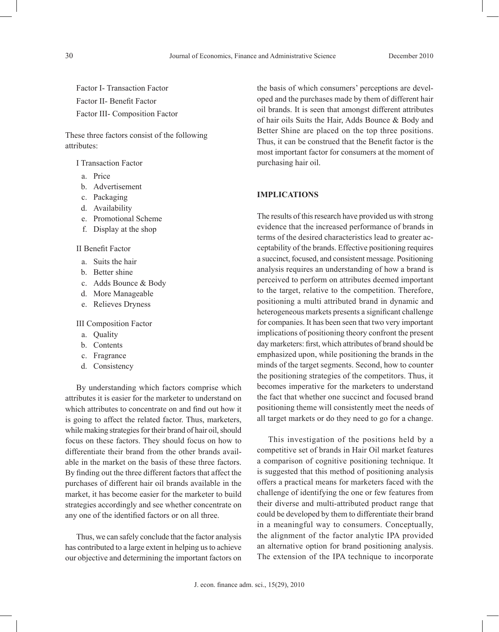Factor I- Transaction Factor Factor II- Benefit Factor Factor III- Composition Factor

These three factors consist of the following attributes:

I Transaction Factor

- a. Price
- b. Advertisement
- c. Packaging
- d. Availability
- e. Promotional Scheme
- f. Display at the shop

## II Benefit Factor

- a. Suits the hair
- b. Better shine
- c. Adds Bounce & Body
- d. More Manageable
- e. Relieves Dryness

III Composition Factor

- a. Quality
- b. Contents
- c. Fragrance
- d. Consistency

By understanding which factors comprise which attributes it is easier for the marketer to understand on which attributes to concentrate on and find out how it is going to affect the related factor. Thus, marketers, while making strategies for their brand of hair oil, should focus on these factors. They should focus on how to differentiate their brand from the other brands available in the market on the basis of these three factors. By finding out the three different factors that affect the purchases of different hair oil brands available in the market, it has become easier for the marketer to build strategies accordingly and see whether concentrate on any one of the identified factors or on all three.

Thus, we can safely conclude that the factor analysis has contributed to a large extent in helping us to achieve our objective and determining the important factors on

the basis of which consumers' perceptions are developed and the purchases made by them of different hair oil brands. It is seen that amongst different attributes of hair oils Suits the Hair, Adds Bounce & Body and Better Shine are placed on the top three positions. Thus, it can be construed that the Benefit factor is the most important factor for consumers at the moment of purchasing hair oil.

## **IMPLICATIONS**

The results of this research have provided us with strong evidence that the increased performance of brands in terms of the desired characteristics lead to greater acceptability of the brands. Effective positioning requires a succinct, focused, and consistent message. Positioning analysis requires an understanding of how a brand is perceived to perform on attributes deemed important to the target, relative to the competition. Therefore, positioning a multi attributed brand in dynamic and heterogeneous markets presents a significant challenge for companies. It has been seen that two very important implications of positioning theory confront the present day marketers: first, which attributes of brand should be emphasized upon, while positioning the brands in the minds of the target segments. Second, how to counter the positioning strategies of the competitors. Thus, it becomes imperative for the marketers to understand the fact that whether one succinct and focused brand positioning theme will consistently meet the needs of all target markets or do they need to go for a change.

This investigation of the positions held by a competitive set of brands in Hair Oil market features a comparison of cognitive positioning technique. It is suggested that this method of positioning analysis offers a practical means for marketers faced with the challenge of identifying the one or few features from their diverse and multi-attributed product range that could be developed by them to differentiate their brand in a meaningful way to consumers. Conceptually, the alignment of the factor analytic IPA provided an alternative option for brand positioning analysis. The extension of the IPA technique to incorporate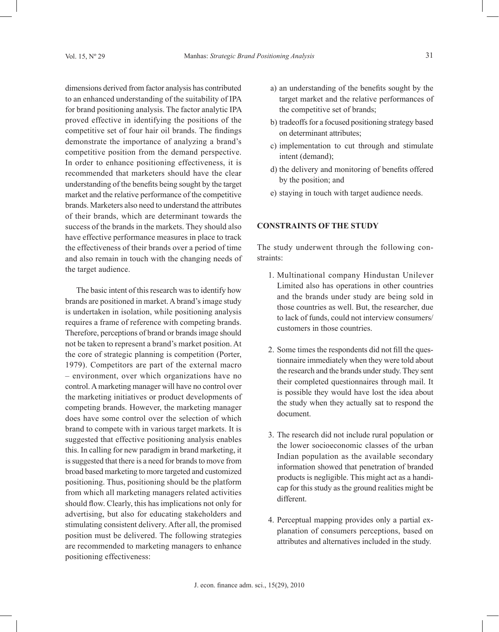dimensions derived from factor analysis has contributed to an enhanced understanding of the suitability of IPA for brand positioning analysis. The factor analytic IPA proved effective in identifying the positions of the competitive set of four hair oil brands. The findings demonstrate the importance of analyzing a brand's competitive position from the demand perspective. In order to enhance positioning effectiveness, it is recommended that marketers should have the clear understanding of the benefits being sought by the target market and the relative performance of the competitive brands. Marketers also need to understand the attributes of their brands, which are determinant towards the success of the brands in the markets. They should also have effective performance measures in place to track the effectiveness of their brands over a period of time and also remain in touch with the changing needs of the target audience.

The basic intent of this research was to identify how brands are positioned in market. A brand's image study is undertaken in isolation, while positioning analysis requires a frame of reference with competing brands. Therefore, perceptions of brand or brands image should not be taken to represent a brand's market position. At the core of strategic planning is competition (Porter, 1979). Competitors are part of the external macro – environment, over which organizations have no control. A marketing manager will have no control over the marketing initiatives or product developments of competing brands. However, the marketing manager does have some control over the selection of which brand to compete with in various target markets. It is suggested that effective positioning analysis enables this. In calling for new paradigm in brand marketing, it is suggested that there is a need for brands to move from broad based marketing to more targeted and customized positioning. Thus, positioning should be the platform from which all marketing managers related activities should flow. Clearly, this has implications not only for advertising, but also for educating stakeholders and stimulating consistent delivery. After all, the promised position must be delivered. The following strategies are recommended to marketing managers to enhance positioning effectiveness:

- a) an understanding of the benefits sought by the target market and the relative performances of the competitive set of brands;
- b) tradeoffs for a focused positioning strategy based on determinant attributes;
- c) implementation to cut through and stimulate intent (demand);
- d) the delivery and monitoring of benefits offered by the position; and
- e) staying in touch with target audience needs.

# **CONSTRAINTS OF THE STUDY**

The study underwent through the following constraints:

- 1. Multinational company Hindustan Unilever Limited also has operations in other countries and the brands under study are being sold in those countries as well. But, the researcher, due to lack of funds, could not interview consumers/ customers in those countries.
- 2. Some times the respondents did not fill the questionnaire immediately when they were told about the research and the brands under study. They sent their completed questionnaires through mail. It is possible they would have lost the idea about the study when they actually sat to respond the document.
- 3. The research did not include rural population or the lower socioeconomic classes of the urban Indian population as the available secondary information showed that penetration of branded products is negligible. This might act as a handicap for this study as the ground realities might be different.
- 4. Perceptual mapping provides only a partial explanation of consumers perceptions, based on attributes and alternatives included in the study.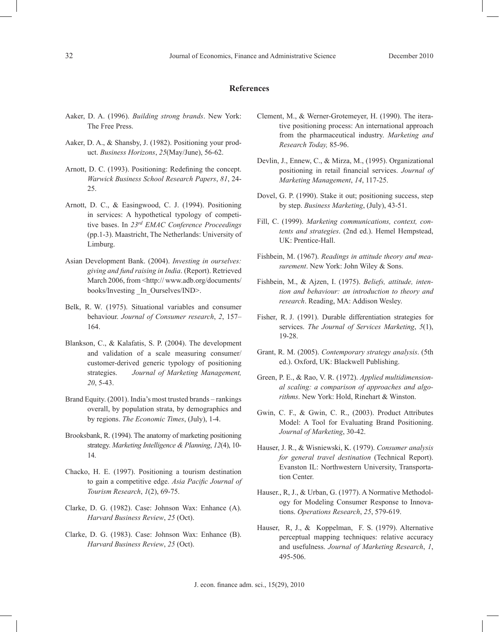#### **References**

- Aaker, D. A. (1996). *Building strong brands*. New York: The Free Press.
- Aaker, D. A., & Shansby, J. (1982). Positioning your product. *Business Horizons*, *25*(May/June), 56-62.
- Arnott, D. C. (1993). Positioning: Redefining the concept. *Warwick Business School Research Papers*, *81*, 24- 25.
- Arnott, D. C., & Easingwood, C. J. (1994). Positioning in services: A hypothetical typology of competitive bases. In *23rd EMAC Conference Proceedings* (pp.1-3). Maastricht, The Netherlands: University of Limburg.
- Asian Development Bank. (2004). *Investing in ourselves: giving and fund raising in India*. (Report). Retrieved March 2006, from <http:// www.adb.org/documents/ books/Investing In Ourselves/IND>.
- Belk, R. W. (1975). Situational variables and consumer behaviour. *Journal of Consumer research*, *2*, 157– 164.
- Blankson, C., & Kalafatis, S. P. (2004). The development and validation of a scale measuring consumer/ customer-derived generic typology of positioning strategies. *Journal of Marketing Management, 20*, 5-43.
- Brand Equity. (2001). India's most trusted brands rankings overall, by population strata, by demographics and by regions. *The Economic Times*, (July), 1-4.
- Brooksbank, R. (1994). The anatomy of marketing positioning strategy. *Marketing Intelligence & Planning*, *12*(4), 10- 14.
- Chacko, H. E. (1997). Positioning a tourism destination to gain a competitive edge. *Asia Pacific Journal of Tourism Research*, *1*(2), 69-75.
- Clarke, D. G. (1982). Case: Johnson Wax: Enhance (A). *Harvard Business Review*, *25* (Oct).
- Clarke, D. G. (1983). Case: Johnson Wax: Enhance (B). *Harvard Business Review*, *25* (Oct).
- Clement, M., & Werner-Grotemeyer, H. (1990). The iterative positioning process: An international approach from the pharmaceutical industry. *Marketing and Research Today,* 85-96.
- Devlin, J., Ennew, C., & Mirza, M., (1995). Organizational positioning in retail financial services. *Journal of Marketing Management*, *14*, 117-25.
- Dovel, G. P. (1990). Stake it out; positioning success, step by step. *Business Marketing*, (July), 43-51.
- Fill, C. (1999). *Marketing communications, context, contents and strategies*. (2nd ed.). Hemel Hempstead, UK: Prentice-Hall.
- Fishbein, M. (1967). *Readings in attitude theory and measurement*. New York: John Wiley & Sons.
- Fishbein, M., & Ajzen, I. (1975). *Beliefs, attitude, intention and behaviour: an introduction to theory and research*. Reading, MA: Addison Wesley.
- Fisher, R. J. (1991). Durable differentiation strategies for services. *The Journal of Services Marketing*, *5*(1), 19-28.
- Grant, R. M. (2005). *Contemporary strategy analysis*. (5th ed.). Oxford, UK: Blackwell Publishing.
- Green, P. E., & Rao, V. R. (1972). *Applied multidimensional scaling: a comparison of approaches and algorithms*. New York: Hold, Rinehart & Winston.
- Gwin, C. F., & Gwin, C. R., (2003). Product Attributes Model: A Tool for Evaluating Brand Positioning. *Journal of Marketing*, 30-42.
- Hauser, J. R., & Wisniewski, K. (1979). *Consumer analysis for general travel destination* (Technical Report). Evanston IL: Northwestern University, Transportation Center.
- Hauser., R, J., & Urban, G. (1977). A Normative Methodology for Modeling Consumer Response to Innovations. *Operations Research*, *25*, 579-619.
- Hauser, R, J., & Koppelman, F. S. (1979). Alternative perceptual mapping techniques: relative accuracy and usefulness. *Journal of Marketing Research*, *1*, 495-506.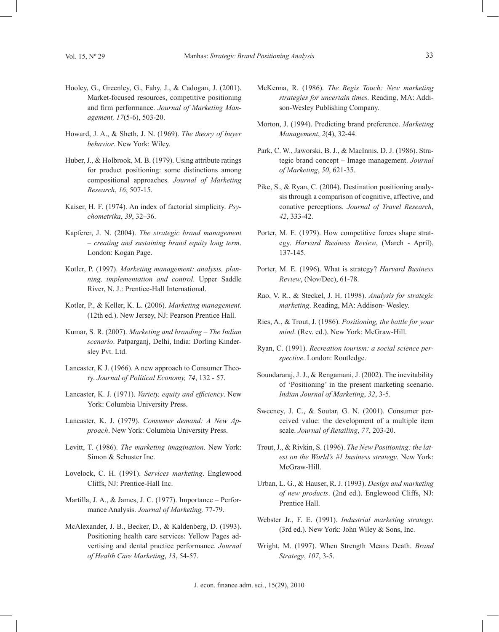- Hooley, G., Greenley, G., Fahy, J., & Cadogan, J. (2001). Market-focused resources, competitive positioning and firm performance. *Journal of Marketing Management, 17*(5-6), 503-20.
- Howard, J. A., & Sheth, J. N. (1969). *The theory of buyer behavior*. New York: Wiley.
- Huber, J., & Holbrook, M. B. (1979). Using attribute ratings for product positioning: some distinctions among compositional approaches. *Journal of Marketing Research*, *16*, 507-15.
- Kaiser, H. F. (1974). An index of factorial simplicity. *Psychometrika*, *39*, 32–36.
- Kapferer, J. N. (2004). *The strategic brand management – creating and sustaining brand equity long term*. London: Kogan Page.
- Kotler, P. (1997). *Marketing management: analysis, planning, implementation and control*. Upper Saddle River, N. J.: Prentice-Hall International.
- Kotler, P., & Keller, K. L. (2006). *Marketing management*. (12th ed.). New Jersey, NJ: Pearson Prentice Hall.
- Kumar, S. R. (2007). *Marketing and branding The Indian scenario*. Patparganj, Delhi, India: Dorling Kindersley Pvt. Ltd.
- Lancaster, K J. (1966). A new approach to Consumer Theory. *Journal of Political Economy, 74*, 132 - 57.
- Lancaster, K. J. (1971). *Variety, equity and efficiency*. New York: Columbia University Press.
- Lancaster, K. J. (1979). *Consumer demand: A New Approach*. New York: Columbia University Press.
- Levitt, T. (1986). *The marketing imagination*. New York: Simon & Schuster Inc.
- Lovelock, C. H. (1991). *Services marketing*. Englewood Cliffs, NJ: Prentice-Hall Inc.
- Martilla, J. A., & James, J. C. (1977). Importance Performance Analysis. *Journal of Marketing,* 77-79.
- McAlexander, J. B., Becker, D., & Kaldenberg, D. (1993). Positioning health care services: Yellow Pages advertising and dental practice performance. *Journal of Health Care Marketing*, *13*, 54-57.
- McKenna, R. (1986). *The Regis Touch: New marketing strategies for uncertain times.* Reading, MA: Addison-Wesley Publishing Company.
- Morton, J. (1994). Predicting brand preference. *Marketing Management*, *2*(4), 32-44.
- Park, C. W., Jaworski, B. J., & MacInnis, D. J. (1986). Strategic brand concept – Image management. *Journal of Marketing*, *50*, 621-35.
- Pike, S., & Ryan, C. (2004). Destination positioning analysis through a comparison of cognitive, affective, and conative perceptions. *Journal of Travel Research*, *42*, 333-42.
- Porter, M. E. (1979). How competitive forces shape strategy. *Harvard Business Review*, (March - April), 137-145.
- Porter, M. E. (1996). What is strategy? *Harvard Business Review*, (Nov/Dec), 61-78.
- Rao, V. R., & Steckel, J. H. (1998). *Analysis for strategic marketing*. Reading, MA: Addison- Wesley.
- Ries, A., & Trout, J. (1986). *Positioning, the battle for your mind*. (Rev. ed.). New York: McGraw-Hill.
- Ryan, C. (1991). *Recreation tourism: a social science perspective*. London: Routledge.
- Soundararaj, J. J., & Rengamani, J. (2002). The inevitability of 'Positioning' in the present marketing scenario. *Indian Journal of Marketing*, *32*, 3-5.
- Sweeney, J. C., & Soutar, G. N. (2001). Consumer perceived value: the development of a multiple item scale. *Journal of Retailing*, *77*, 203-20.
- Trout, J., & Rivkin, S. (1996). *The New Positioning: the latest on the World's #1 business strategy*. New York: McGraw-Hill.
- Urban, L. G., & Hauser, R. J. (1993). *Design and marketing of new products*. (2nd ed.). Englewood Cliffs, NJ: Prentice Hall.
- Webster Jr., F. E. (1991). *Industrial marketing strategy*. (3rd ed.). New York: John Wiley & Sons, Inc.
- Wright, M. (1997). When Strength Means Death. *Brand Strategy*, *107*, 3-5.